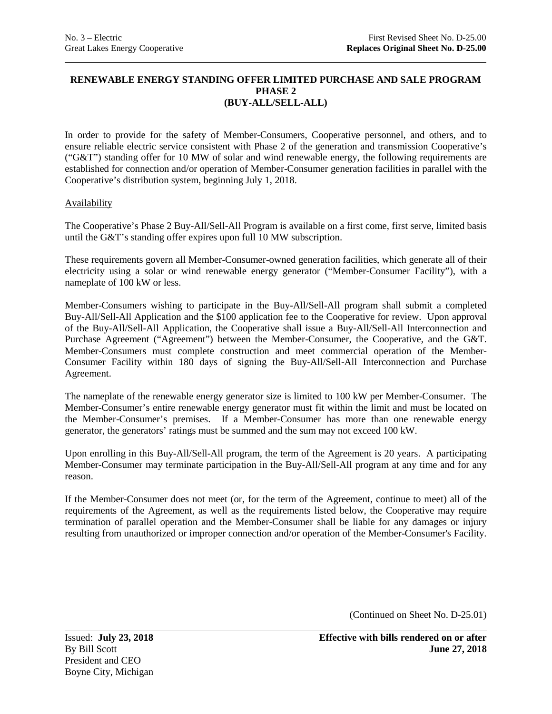### **RENEWABLE ENERGY STANDING OFFER LIMITED PURCHASE AND SALE PROGRAM PHASE 2 (BUY-ALL/SELL-ALL)**

In order to provide for the safety of Member-Consumers, Cooperative personnel, and others, and to ensure reliable electric service consistent with Phase 2 of the generation and transmission Cooperative's ("G&T") standing offer for 10 MW of solar and wind renewable energy, the following requirements are established for connection and/or operation of Member-Consumer generation facilities in parallel with the Cooperative's distribution system, beginning July 1, 2018.

# Availability

The Cooperative's Phase 2 Buy-All/Sell-All Program is available on a first come, first serve, limited basis until the G&T's standing offer expires upon full 10 MW subscription.

These requirements govern all Member-Consumer-owned generation facilities, which generate all of their electricity using a solar or wind renewable energy generator ("Member-Consumer Facility"), with a nameplate of 100 kW or less.

Member-Consumers wishing to participate in the Buy-All/Sell-All program shall submit a completed Buy-All/Sell-All Application and the \$100 application fee to the Cooperative for review. Upon approval of the Buy-All/Sell-All Application, the Cooperative shall issue a Buy-All/Sell-All Interconnection and Purchase Agreement ("Agreement") between the Member-Consumer, the Cooperative, and the G&T. Member-Consumers must complete construction and meet commercial operation of the Member-Consumer Facility within 180 days of signing the Buy-All/Sell-All Interconnection and Purchase Agreement.

The nameplate of the renewable energy generator size is limited to 100 kW per Member-Consumer. The Member-Consumer's entire renewable energy generator must fit within the limit and must be located on the Member-Consumer's premises. If a Member-Consumer has more than one renewable energy generator, the generators' ratings must be summed and the sum may not exceed 100 kW.

Upon enrolling in this Buy-All/Sell-All program, the term of the Agreement is 20 years. A participating Member-Consumer may terminate participation in the Buy-All/Sell-All program at any time and for any reason.

If the Member-Consumer does not meet (or, for the term of the Agreement, continue to meet) all of the requirements of the Agreement, as well as the requirements listed below, the Cooperative may require termination of parallel operation and the Member-Consumer shall be liable for any damages or injury resulting from unauthorized or improper connection and/or operation of the Member-Consumer's Facility.

(Continued on Sheet No. D-25.01)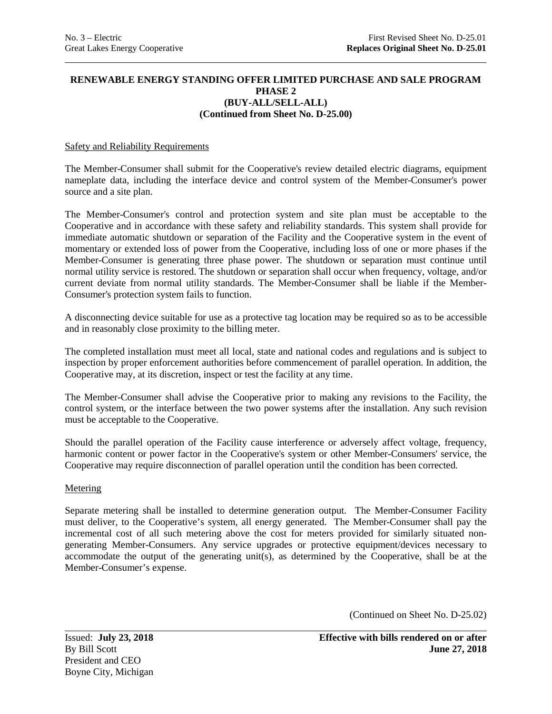## **RENEWABLE ENERGY STANDING OFFER LIMITED PURCHASE AND SALE PROGRAM PHASE 2 (BUY-ALL/SELL-ALL) (Continued from Sheet No. D-25.00)**

### Safety and Reliability Requirements

The Member-Consumer shall submit for the Cooperative's review detailed electric diagrams, equipment nameplate data, including the interface device and control system of the Member-Consumer's power source and a site plan.

The Member-Consumer's control and protection system and site plan must be acceptable to the Cooperative and in accordance with these safety and reliability standards. This system shall provide for immediate automatic shutdown or separation of the Facility and the Cooperative system in the event of momentary or extended loss of power from the Cooperative, including loss of one or more phases if the Member-Consumer is generating three phase power. The shutdown or separation must continue until normal utility service is restored. The shutdown or separation shall occur when frequency, voltage, and/or current deviate from normal utility standards. The Member-Consumer shall be liable if the Member-Consumer's protection system fails to function.

A disconnecting device suitable for use as a protective tag location may be required so as to be accessible and in reasonably close proximity to the billing meter.

The completed installation must meet all local, state and national codes and regulations and is subject to inspection by proper enforcement authorities before commencement of parallel operation. In addition, the Cooperative may, at its discretion, inspect or test the facility at any time.

The Member-Consumer shall advise the Cooperative prior to making any revisions to the Facility, the control system, or the interface between the two power systems after the installation. Any such revision must be acceptable to the Cooperative.

Should the parallel operation of the Facility cause interference or adversely affect voltage, frequency, harmonic content or power factor in the Cooperative's system or other Member-Consumers' service, the Cooperative may require disconnection of parallel operation until the condition has been corrected.

### **Metering**

Separate metering shall be installed to determine generation output. The Member-Consumer Facility must deliver, to the Cooperative's system, all energy generated. The Member-Consumer shall pay the incremental cost of all such metering above the cost for meters provided for similarly situated nongenerating Member-Consumers. Any service upgrades or protective equipment/devices necessary to accommodate the output of the generating unit(s), as determined by the Cooperative, shall be at the Member-Consumer's expense.

(Continued on Sheet No. D-25.02)